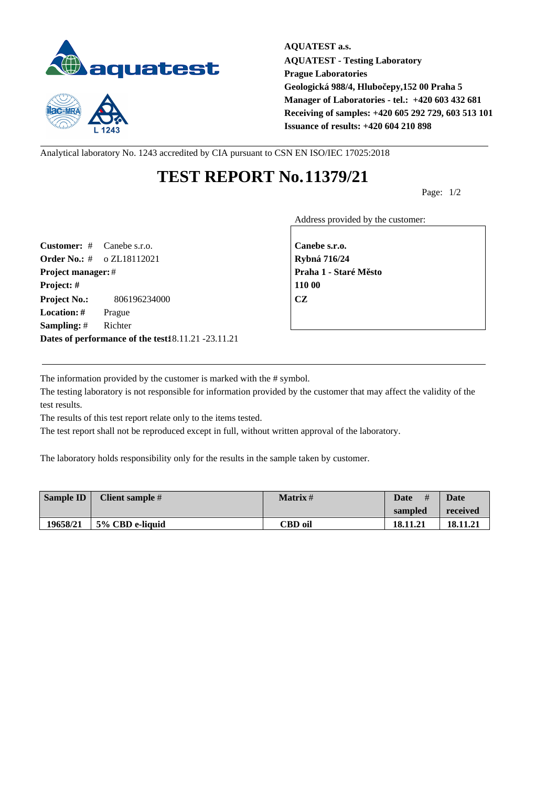



**AQUATEST a.s. AQUATEST - Testing Laboratory Prague Laboratories Geologická 988/4, Hlubočepy,152 00 Praha 5 Manager of Laboratories - tel.: +420 603 432 681 Receiving of samples: +420 605 292 729, 603 513 101 Issuance of results: +420 604 210 898**

Analytical laboratory No. 1243 accredited by CIA pursuant to CSN EN ISO/IEC 17025:2018

## **TEST REPORT No.11379/21**

Page: 1/2

Address provided by the customer:

**Customer:** # Canebe s.r.o. **Canebe s.r.o. Order No.:** # o ZL18112021 **Rybná 716/24 Project manager:** # **Praha 1 - Staré M** sto **Project: # 110 00 Project No.:** 806196234000 **CZ Location: #** Prague **Sampling:** # Richter **Dates of performance of the test:**18.11.21 -23.11.21

The information provided by the customer is marked with the # symbol.

The testing laboratory is not responsible for information provided by the customer that may affect the validity of the test results.

The results of this test report relate only to the items tested.

The test report shall not be reproduced except in full, without written approval of the laboratory.

The laboratory holds responsibility only for the results in the sample taken by customer.

| Sample ID | Client sample # | <b>Matrix</b> # | #<br>Date | Date     |
|-----------|-----------------|-----------------|-----------|----------|
|           |                 |                 | sampled   | received |
| 19658/21  | 5% CBD e-liquid | CBD oil         | 18.11.21  | 18.11.21 |